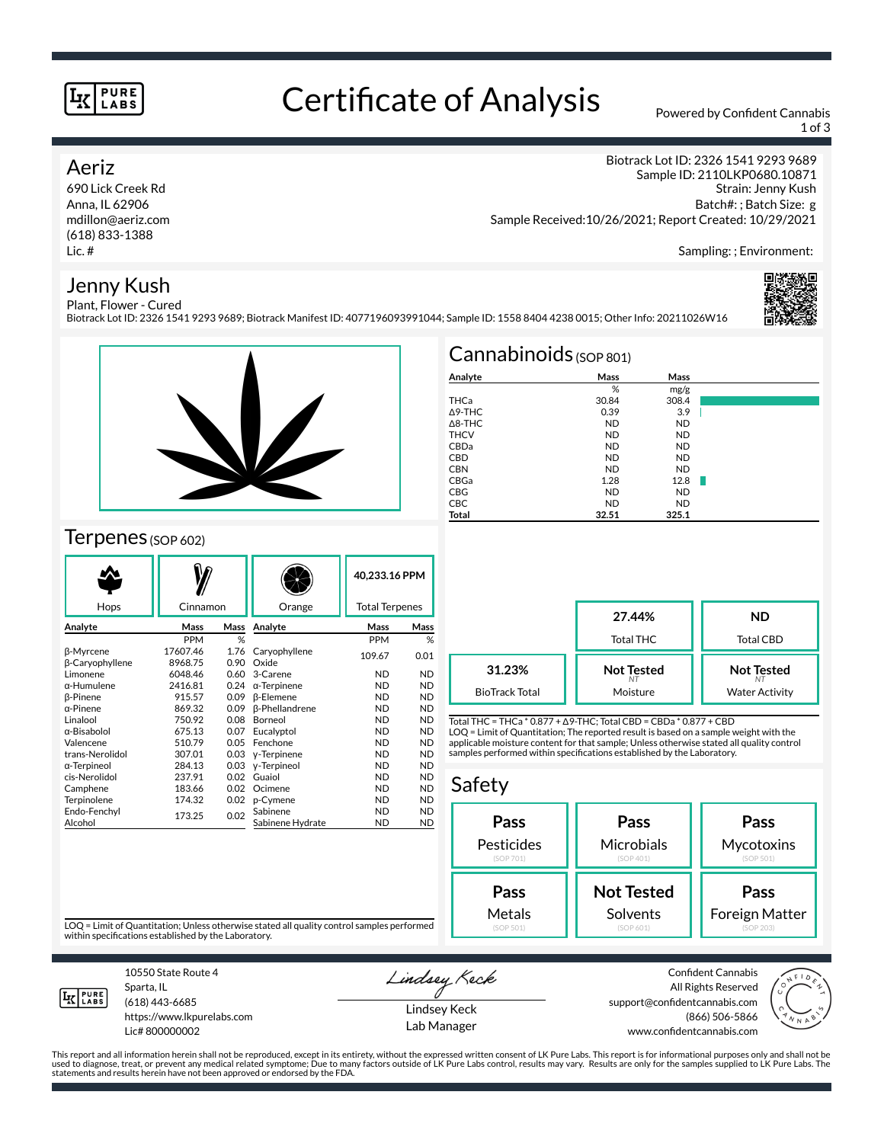#### **PURE** LABS

## Certificate of Analysis Powered by Confident Cannabis

Biotrack Lot ID: 2326 1541 9293 9689; Biotrack Manifest ID: 4077196093991044; Sample ID: 1558 8404 4238 0015; Other Info: 20211026W16

1 of 3

Sampling: ; Environment:

Strain: Jenny Kush Batch#: ; Batch Size: g

Biotrack Lot ID: 2326 1541 9293 9689 Sample ID: 2110LKP0680.10871

### Aeriz

690 Lick Creek Rd Anna, IL 62906 mdillon@aeriz.com (618) 833-1388 Lic. #

#### Jenny Kush Plant, Flower - Cured



## Terpenes (SOP 602)

|                        |                |      |                       | 40,233.16 PPM         |           |
|------------------------|----------------|------|-----------------------|-----------------------|-----------|
|                        |                |      |                       |                       |           |
| Hops                   | Cinnamon       |      | Orange                | <b>Total Terpenes</b> |           |
| Analyte                | Mass           | Mass | Analyte               | Mass                  | Mass      |
|                        | <b>PPM</b>     | %    |                       | <b>PPM</b>            | %         |
| β-Myrcene              | 17607.46       | 1.76 | Caryophyllene         | 109.67                | 0.01      |
| <b>B-Caryophyllene</b> | 8968.75        | 0.90 | Oxide                 |                       |           |
| Limonene               | 6048.46        | 0.60 | 3-Carene              | <b>ND</b>             | <b>ND</b> |
| α-Humulene             | 2416.81        | 0.24 | $\alpha$ -Terpinene   | ND                    | <b>ND</b> |
| <b>B-Pinene</b>        | 915.57         | 0.09 | <b>B-Elemene</b>      | <b>ND</b>             | <b>ND</b> |
| $\alpha$ -Pinene       | 869.32         | 0.09 | <b>ß-Phellandrene</b> | ND                    | <b>ND</b> |
| Linalool               | 750.92         | 0.08 | Borneol               | <b>ND</b>             | <b>ND</b> |
| α-Bisabolol            | 675.13         | 0.07 | Eucalyptol            | <b>ND</b>             | <b>ND</b> |
| Valencene              | 510.79         | 0.05 | Fenchone              | ND                    | <b>ND</b> |
| trans-Nerolidol        | 307.01         | 0.03 | y-Terpinene           | <b>ND</b>             | <b>ND</b> |
| α-Terpineol            | 284.13         | 0.03 | y-Terpineol           | <b>ND</b>             | <b>ND</b> |
| cis-Nerolidol          | 237.91         | 0.02 | Guaiol                | ND                    | <b>ND</b> |
| Camphene               | 0.02<br>183.66 |      | Ocimene               | <b>ND</b>             | <b>ND</b> |
| Terpinolene            | 174.32<br>0.02 |      | p-Cymene              | <b>ND</b>             | <b>ND</b> |
| Endo-Fenchyl           | 173.25         | 0.02 | Sabinene              | ND                    | <b>ND</b> |
| Alcohol                |                |      | Sabinene Hydrate      | <b>ND</b>             | <b>ND</b> |

| $Cannabinoids$ (SOP 801) |           |           |  |  |  |  |  |
|--------------------------|-----------|-----------|--|--|--|--|--|
| Analyte                  | Mass      | Mass      |  |  |  |  |  |
|                          | %         | mg/g      |  |  |  |  |  |
| THCa                     | 30.84     | 308.4     |  |  |  |  |  |
| $\triangle$ 9-THC        | 0.39      | 3.9       |  |  |  |  |  |
| $\triangle$ 8-THC        | <b>ND</b> | <b>ND</b> |  |  |  |  |  |
| <b>THCV</b>              | <b>ND</b> | <b>ND</b> |  |  |  |  |  |
| CBDa                     | <b>ND</b> | <b>ND</b> |  |  |  |  |  |
| <b>CBD</b>               | <b>ND</b> | <b>ND</b> |  |  |  |  |  |
| <b>CBN</b>               | <b>ND</b> | <b>ND</b> |  |  |  |  |  |
| CBGa                     | 1.28      | 12.8      |  |  |  |  |  |
| <b>CBG</b>               | <b>ND</b> | <b>ND</b> |  |  |  |  |  |
| <b>CBC</b>               | <b>ND</b> | <b>ND</b> |  |  |  |  |  |
| Total                    | 32.51     | 325.1     |  |  |  |  |  |

Sample Received:10/26/2021; Report Created: 10/29/2021

|                       | 27.44%<br><b>Total THC</b> | <b>ND</b><br><b>Total CBD</b> |  |
|-----------------------|----------------------------|-------------------------------|--|
| 31.23%                | <b>Not Tested</b>          | <b>Not Tested</b>             |  |
| <b>BioTrack Total</b> | Moisture                   | <b>Water Activity</b>         |  |

Total THC = THCa \* 0.877 + ∆9-THC; Total CBD = CBDa \* 0.877 + CBD LOQ = Limit of Quantitation; The reported result is based on a sample weight with the applicable moisture content for that sample; Unless otherwise stated all quality control samples performed within specifications established by the Laboratory.

### Safety



LOQ = Limit of Quantitation; Unless otherwise stated all quality control samples performed within specifications established by the Laboratory.



Sparta, IL (618) 443-6685

10550 State Route 4

https://www.lkpurelabs.com Lic# 800000002

Lindsey Keck Lindsey Keck

Lab Manager

Confident Cannabis All Rights Reserved support@confidentcannabis.com (866) 506-5866 www.confidentcannabis.com



This report and all information herein shall not be reproduced, except in its entirety, without the expressed written consent of LK Pure Labs. This report is for informational purposes only and shall not be<br>used to diagnos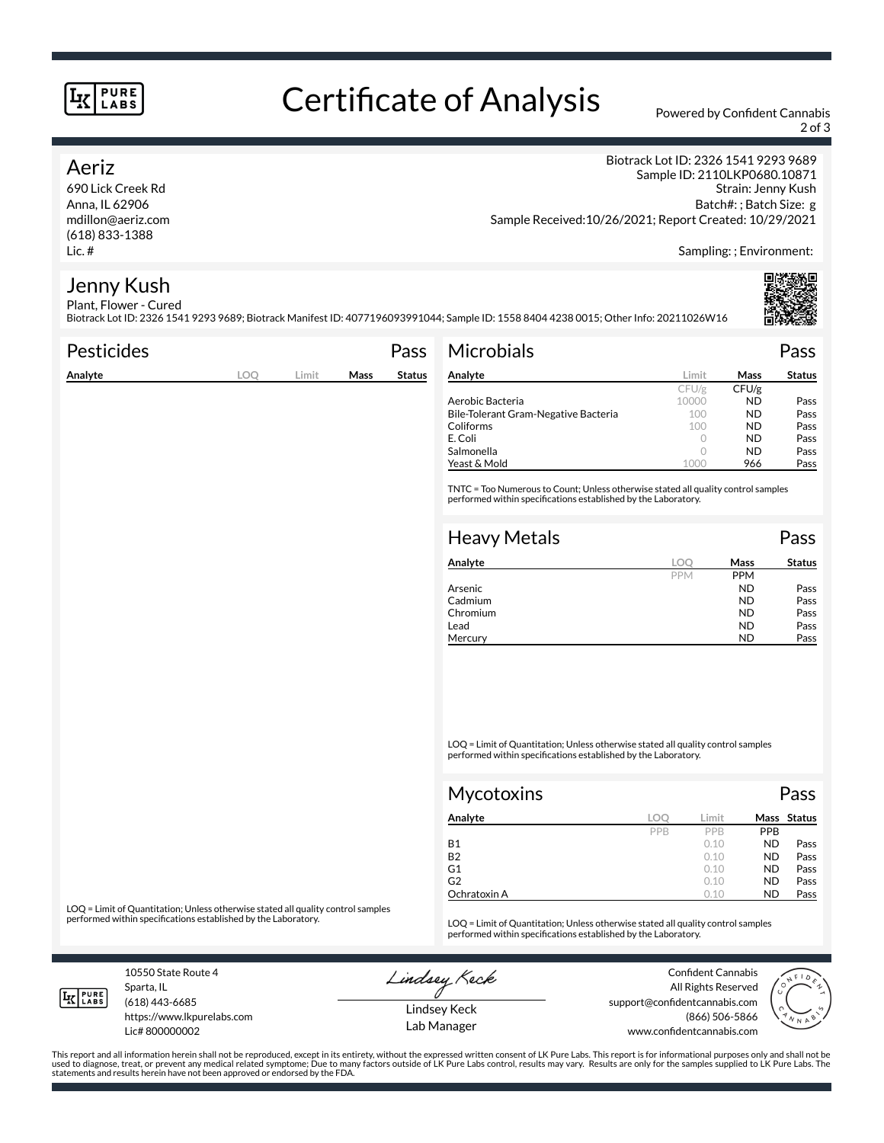#### **PURE** LABS

# Certificate of Analysis Powered by Confident Cannabis

2 of 3

### Aeriz

690 Lick Creek Rd Anna, IL 62906 mdillon@aeriz.com (618) 833-1388 Lic. #

Biotrack Lot ID: 2326 1541 9293 9689 Sample ID: 2110LKP0680.10871 Strain: Jenny Kush Batch#: ; Batch Size: g Sample Received:10/26/2021; Report Created: 10/29/2021

Sampling: ; Environment:

#### Jenny Kush Plant, Flower - Cured

Biotrack Lot ID: 2326 1541 9293 9689; Biotrack Manifest ID: 4077196093991044; Sample ID: 1558 8404 4238 0015; Other Info: 20211026W16

| <b>Pesticides</b> |     |       |      | Pass          | <b>Microbials</b>                                                                                                                                   |            |             | Pass          |
|-------------------|-----|-------|------|---------------|-----------------------------------------------------------------------------------------------------------------------------------------------------|------------|-------------|---------------|
| Analyte           | LOQ | Limit | Mass | <b>Status</b> | Analyte                                                                                                                                             | Limit      | <b>Mass</b> | <b>Status</b> |
|                   |     |       |      |               |                                                                                                                                                     | CFU/g      | CFU/g       |               |
|                   |     |       |      |               | Aerobic Bacteria                                                                                                                                    | 10000      | <b>ND</b>   | Pass          |
|                   |     |       |      |               | Bile-Tolerant Gram-Negative Bacteria                                                                                                                | 100        | <b>ND</b>   | Pass          |
|                   |     |       |      |               | Coliforms                                                                                                                                           | 100        | <b>ND</b>   | Pass          |
|                   |     |       |      |               | E. Coli                                                                                                                                             | $\circ$    | ND.         | Pass          |
|                   |     |       |      |               | Salmonella                                                                                                                                          | $\circ$    | <b>ND</b>   | Pass          |
|                   |     |       |      |               | Yeast & Mold                                                                                                                                        | 1000       | 966         | Pass          |
|                   |     |       |      |               | TNTC = Too Numerous to Count; Unless otherwise stated all quality control samples<br>performed within specifications established by the Laboratory. |            |             |               |
|                   |     |       |      |               | <b>Heavy Metals</b>                                                                                                                                 |            |             | Pass          |
|                   |     |       |      |               | Analyte                                                                                                                                             | <b>LOO</b> | Mass        | <b>Status</b> |
|                   |     |       |      |               |                                                                                                                                                     | <b>PPM</b> | <b>PPM</b>  |               |
|                   |     |       |      |               | Arsenic                                                                                                                                             |            | <b>ND</b>   | Pass          |
|                   |     |       |      |               | Cadmium                                                                                                                                             |            | <b>ND</b>   | Pass          |
|                   |     |       |      |               | Chromium                                                                                                                                            |            | <b>ND</b>   | Pass          |

LOQ = Limit of Quantitation; Unless otherwise stated all quality control samples performed within specifications established by the Laboratory.

Chromium ND<br>Lead ND

Lead **ND** Pass Mercury **ND** Pass

| Mycotoxins   |     |       |            | Pass        |
|--------------|-----|-------|------------|-------------|
| Analyte      | LOC | Limit |            | Mass Status |
|              | PPB | PPB   | <b>PPB</b> |             |
| <b>B1</b>    |     | 0.10  | <b>ND</b>  | Pass        |
| <b>B2</b>    |     | 0.10  | <b>ND</b>  | Pass        |
| G1           |     | 0.10  | <b>ND</b>  | Pass        |
| G2           |     | 0.10  | <b>ND</b>  | Pass        |
| Ochratoxin A |     | 0.10  | <b>ND</b>  | Pass        |

LOQ = Limit of Quantitation; Unless otherwise stated all quality control samples<br>performed within specifications established by the Laboratory.

LOQ = Limit of Quantitation; Unless otherwise stated all quality control samples performed within specifications established by the Laboratory.

10550 State Route 4 Sparta, IL (618) 443-6685

**LK** LABS

Lic# 800000002

https://www.lkpurelabs.com

Lindsey Keck

Confident Cannabis All Rights Reserved support@confidentcannabis.com (866) 506-5866 www.confidentcannabis.com



This report and all information herein shall not be reproduced, except in its entirety, without the expressed written consent of LK Pure Labs. This report is for informational purposes only and shall not be<br>used to diagnos statements and results herein have not been approved or endorsed by the FDA.

Lindsey Keck Lab Manager